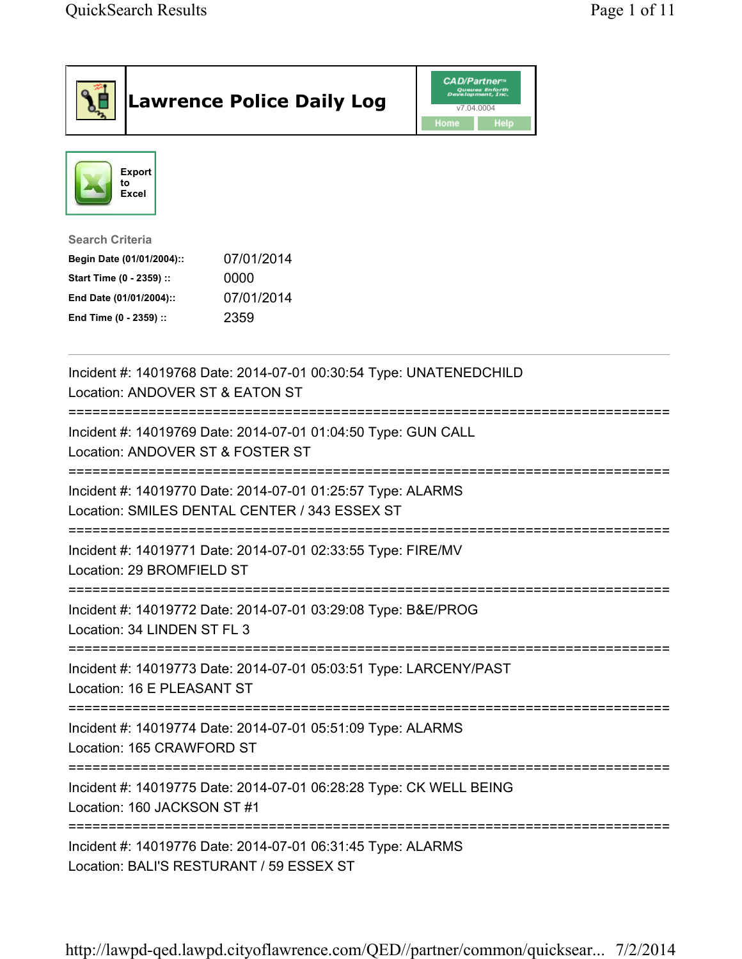|                                                                                                                                      | <b>Lawrence Police Daily Log</b>                                                                             | <b>CAD/Partner</b><br>Queues Enforth<br>Development, Inc.<br>v7.04.0004<br>Home<br>Help |  |
|--------------------------------------------------------------------------------------------------------------------------------------|--------------------------------------------------------------------------------------------------------------|-----------------------------------------------------------------------------------------|--|
| <b>Export</b><br>to<br><b>Excel</b>                                                                                                  |                                                                                                              |                                                                                         |  |
| <b>Search Criteria</b><br>Begin Date (01/01/2004)::<br>Start Time (0 - 2359) ::<br>End Date (01/01/2004)::<br>End Time (0 - 2359) :: | 07/01/2014<br>0000<br>07/01/2014<br>2359                                                                     |                                                                                         |  |
| Location: ANDOVER ST & EATON ST                                                                                                      | Incident #: 14019768 Date: 2014-07-01 00:30:54 Type: UNATENEDCHILD                                           |                                                                                         |  |
| Location: ANDOVER ST & FOSTER ST                                                                                                     | Incident #: 14019769 Date: 2014-07-01 01:04:50 Type: GUN CALL                                                |                                                                                         |  |
|                                                                                                                                      | Incident #: 14019770 Date: 2014-07-01 01:25:57 Type: ALARMS<br>Location: SMILES DENTAL CENTER / 343 ESSEX ST |                                                                                         |  |
| Location: 29 BROMFIELD ST                                                                                                            | Incident #: 14019771 Date: 2014-07-01 02:33:55 Type: FIRE/MV                                                 |                                                                                         |  |
| Location: 34 LINDEN ST FL 3                                                                                                          | Incident #: 14019772 Date: 2014-07-01 03:29:08 Type: B&E/PROG                                                |                                                                                         |  |
| Location: 16 E PLEASANT ST                                                                                                           | Incident #: 14019773 Date: 2014-07-01 05:03:51 Type: LARCENY/PAST                                            |                                                                                         |  |
| Location: 165 CRAWFORD ST                                                                                                            | Incident #: 14019774 Date: 2014-07-01 05:51:09 Type: ALARMS                                                  |                                                                                         |  |
| Incident #: 14019775 Date: 2014-07-01 06:28:28 Type: CK WELL BEING<br>Location: 160 JACKSON ST #1                                    |                                                                                                              |                                                                                         |  |
| Location: BALI'S RESTURANT / 59 ESSEX ST                                                                                             | Incident #: 14019776 Date: 2014-07-01 06:31:45 Type: ALARMS                                                  |                                                                                         |  |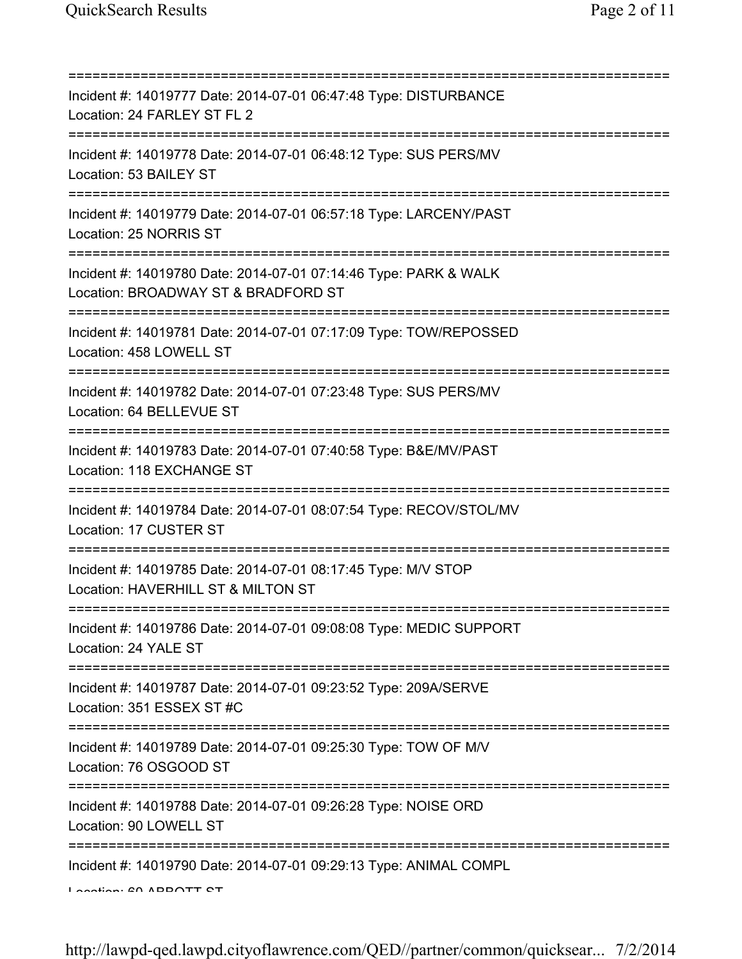=========================================================================== Incident #: 14019777 Date: 2014-07-01 06:47:48 Type: DISTURBANCE Location: 24 FARLEY ST FL 2 =========================================================================== Incident #: 14019778 Date: 2014-07-01 06:48:12 Type: SUS PERS/MV Location: 53 BAILEY ST =========================================================================== Incident #: 14019779 Date: 2014-07-01 06:57:18 Type: LARCENY/PAST Location: 25 NORRIS ST =========================================================================== Incident #: 14019780 Date: 2014-07-01 07:14:46 Type: PARK & WALK Location: BROADWAY ST & BRADFORD ST =========================================================================== Incident #: 14019781 Date: 2014-07-01 07:17:09 Type: TOW/REPOSSED Location: 458 LOWELL ST =========================================================================== Incident #: 14019782 Date: 2014-07-01 07:23:48 Type: SUS PERS/MV Location: 64 BELLEVUE ST =========================================================================== Incident #: 14019783 Date: 2014-07-01 07:40:58 Type: B&E/MV/PAST Location: 118 EXCHANGE ST =========================================================================== Incident #: 14019784 Date: 2014-07-01 08:07:54 Type: RECOV/STOL/MV Location: 17 CUSTER ST =========================================================================== Incident #: 14019785 Date: 2014-07-01 08:17:45 Type: M/V STOP Location: HAVERHILL ST & MILTON ST =========================================================================== Incident #: 14019786 Date: 2014-07-01 09:08:08 Type: MEDIC SUPPORT Location: 24 YALE ST =========================================================================== Incident #: 14019787 Date: 2014-07-01 09:23:52 Type: 209A/SERVE Location: 351 ESSEX ST #C =========================================================================== Incident #: 14019789 Date: 2014-07-01 09:25:30 Type: TOW OF M/V Location: 76 OSGOOD ST =========================================================================== Incident #: 14019788 Date: 2014-07-01 09:26:28 Type: NOISE ORD Location: 90 LOWELL ST =========================================================================== Incident #: 14019790 Date: 2014-07-01 09:29:13 Type: ANIMAL COMPL Location: 60 ABBOTT CT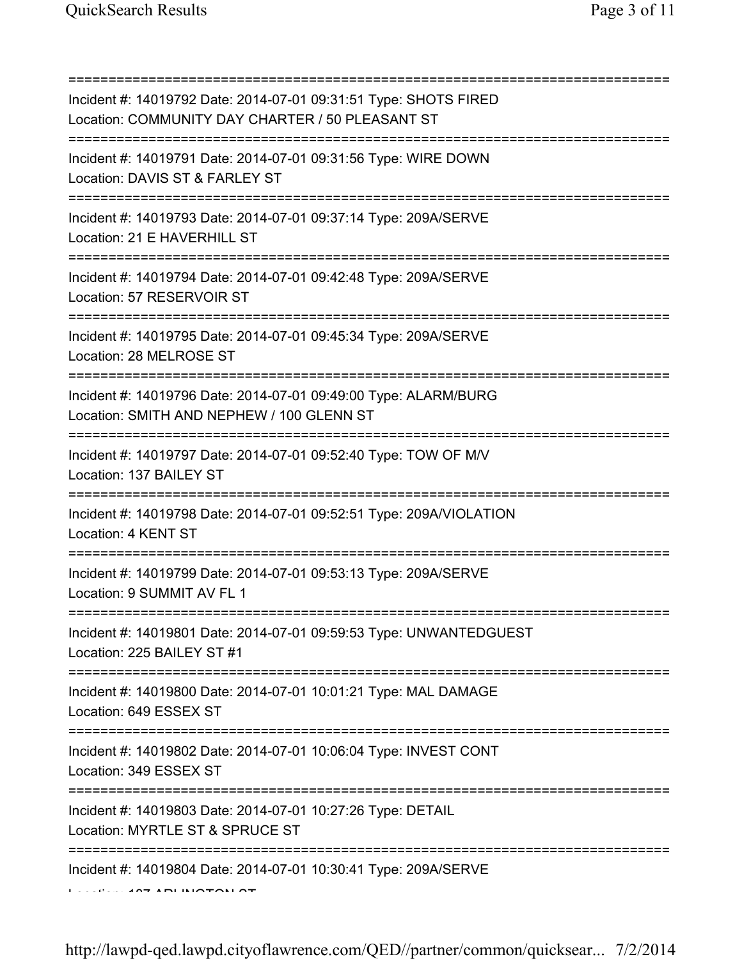=========================================================================== Incident #: 14019792 Date: 2014-07-01 09:31:51 Type: SHOTS FIRED Location: COMMUNITY DAY CHARTER / 50 PLEASANT ST =========================================================================== Incident #: 14019791 Date: 2014-07-01 09:31:56 Type: WIRE DOWN Location: DAVIS ST & FARLEY ST =========================================================================== Incident #: 14019793 Date: 2014-07-01 09:37:14 Type: 209A/SERVE Location: 21 E HAVERHILL ST =========================================================================== Incident #: 14019794 Date: 2014-07-01 09:42:48 Type: 209A/SERVE Location: 57 RESERVOIR ST =========================================================================== Incident #: 14019795 Date: 2014-07-01 09:45:34 Type: 209A/SERVE Location: 28 MELROSE ST =========================================================================== Incident #: 14019796 Date: 2014-07-01 09:49:00 Type: ALARM/BURG Location: SMITH AND NEPHEW / 100 GLENN ST =========================================================================== Incident #: 14019797 Date: 2014-07-01 09:52:40 Type: TOW OF M/V Location: 137 BAILEY ST =========================================================================== Incident #: 14019798 Date: 2014-07-01 09:52:51 Type: 209A/VIOLATION Location: 4 KENT ST =========================================================================== Incident #: 14019799 Date: 2014-07-01 09:53:13 Type: 209A/SERVE Location: 9 SUMMIT AV FL 1 =========================================================================== Incident #: 14019801 Date: 2014-07-01 09:59:53 Type: UNWANTEDGUEST Location: 225 BAILEY ST #1 =========================================================================== Incident #: 14019800 Date: 2014-07-01 10:01:21 Type: MAL DAMAGE Location: 649 ESSEX ST =========================================================================== Incident #: 14019802 Date: 2014-07-01 10:06:04 Type: INVEST CONT Location: 349 ESSEX ST =========================================================================== Incident #: 14019803 Date: 2014-07-01 10:27:26 Type: DETAIL Location: MYRTLE ST & SPRUCE ST =========================================================================== Incident #: 14019804 Date: 2014-07-01 10:30:41 Type: 209A/SERVE Location: 187 ARLINGTON ST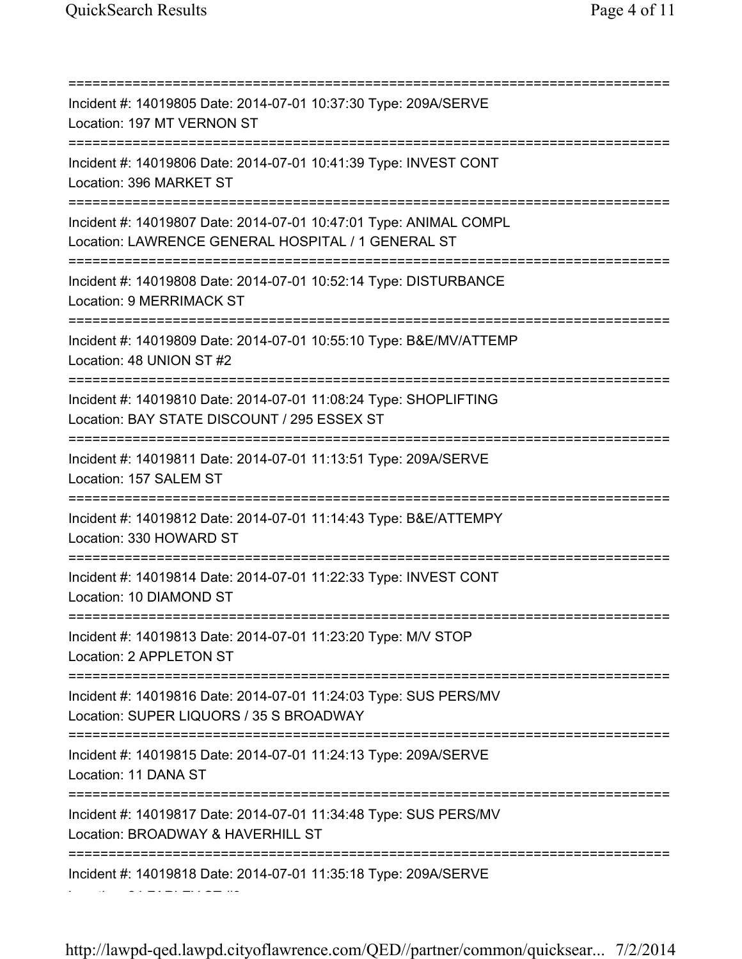=========================================================================== Incident #: 14019805 Date: 2014-07-01 10:37:30 Type: 209A/SERVE Location: 197 MT VERNON ST =========================================================================== Incident #: 14019806 Date: 2014-07-01 10:41:39 Type: INVEST CONT Location: 396 MARKET ST =========================================================================== Incident #: 14019807 Date: 2014-07-01 10:47:01 Type: ANIMAL COMPL Location: LAWRENCE GENERAL HOSPITAL / 1 GENERAL ST =========================================================================== Incident #: 14019808 Date: 2014-07-01 10:52:14 Type: DISTURBANCE Location: 9 MERRIMACK ST =========================================================================== Incident #: 14019809 Date: 2014-07-01 10:55:10 Type: B&E/MV/ATTEMP Location: 48 UNION ST #2 =========================================================================== Incident #: 14019810 Date: 2014-07-01 11:08:24 Type: SHOPLIFTING Location: BAY STATE DISCOUNT / 295 ESSEX ST =========================================================================== Incident #: 14019811 Date: 2014-07-01 11:13:51 Type: 209A/SERVE Location: 157 SALEM ST =========================================================================== Incident #: 14019812 Date: 2014-07-01 11:14:43 Type: B&E/ATTEMPY Location: 330 HOWARD ST =========================================================================== Incident #: 14019814 Date: 2014-07-01 11:22:33 Type: INVEST CONT Location: 10 DIAMOND ST =========================================================================== Incident #: 14019813 Date: 2014-07-01 11:23:20 Type: M/V STOP Location: 2 APPLETON ST =========================================================================== Incident #: 14019816 Date: 2014-07-01 11:24:03 Type: SUS PERS/MV Location: SUPER LIQUORS / 35 S BROADWAY =========================================================================== Incident #: 14019815 Date: 2014-07-01 11:24:13 Type: 209A/SERVE Location: 11 DANA ST =========================================================================== Incident #: 14019817 Date: 2014-07-01 11:34:48 Type: SUS PERS/MV Location: BROADWAY & HAVERHILL ST =========================================================================== Incident #: 14019818 Date: 2014-07-01 11:35:18 Type: 209A/SERVE Location: 24 FARLEY ST #3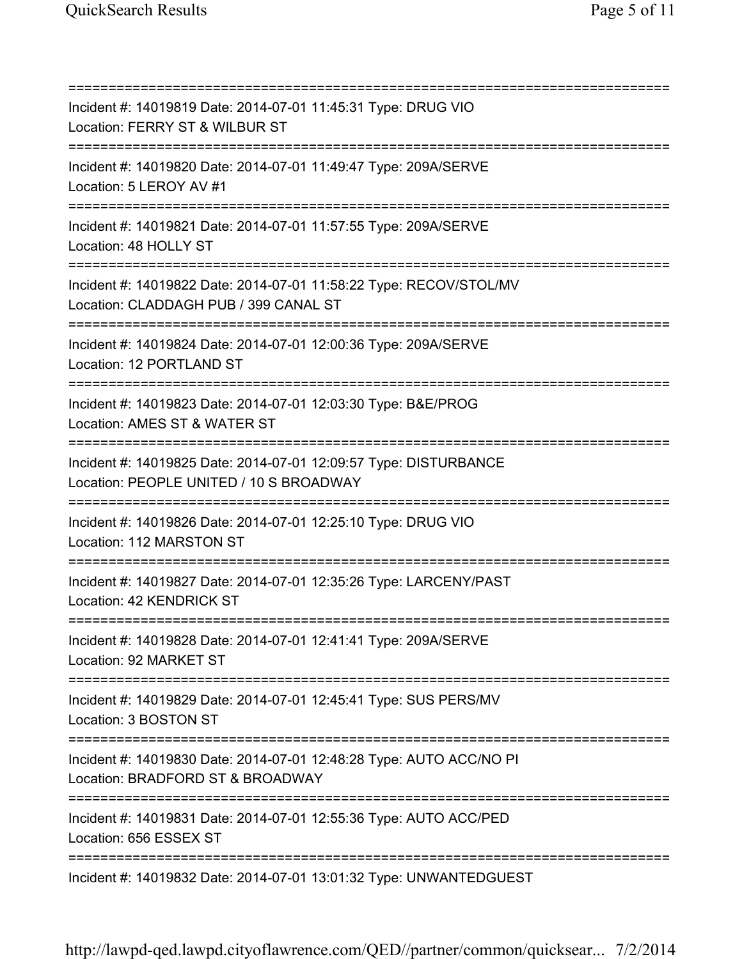=========================================================================== Incident #: 14019819 Date: 2014-07-01 11:45:31 Type: DRUG VIO Location: FERRY ST & WILBUR ST =========================================================================== Incident #: 14019820 Date: 2014-07-01 11:49:47 Type: 209A/SERVE Location: 5 LEROY AV #1 =========================================================================== Incident #: 14019821 Date: 2014-07-01 11:57:55 Type: 209A/SERVE Location: 48 HOLLY ST =========================================================================== Incident #: 14019822 Date: 2014-07-01 11:58:22 Type: RECOV/STOL/MV Location: CLADDAGH PUB / 399 CANAL ST =========================================================================== Incident #: 14019824 Date: 2014-07-01 12:00:36 Type: 209A/SERVE Location: 12 PORTLAND ST =========================================================================== Incident #: 14019823 Date: 2014-07-01 12:03:30 Type: B&E/PROG Location: AMES ST & WATER ST =========================================================================== Incident #: 14019825 Date: 2014-07-01 12:09:57 Type: DISTURBANCE Location: PEOPLE UNITED / 10 S BROADWAY =========================================================================== Incident #: 14019826 Date: 2014-07-01 12:25:10 Type: DRUG VIO Location: 112 MARSTON ST =========================================================================== Incident #: 14019827 Date: 2014-07-01 12:35:26 Type: LARCENY/PAST Location: 42 KENDRICK ST =========================================================================== Incident #: 14019828 Date: 2014-07-01 12:41:41 Type: 209A/SERVE Location: 92 MARKET ST =========================================================================== Incident #: 14019829 Date: 2014-07-01 12:45:41 Type: SUS PERS/MV Location: 3 BOSTON ST =========================================================================== Incident #: 14019830 Date: 2014-07-01 12:48:28 Type: AUTO ACC/NO PI Location: BRADFORD ST & BROADWAY =========================================================================== Incident #: 14019831 Date: 2014-07-01 12:55:36 Type: AUTO ACC/PED Location: 656 ESSEX ST =========================================================================== Incident #: 14019832 Date: 2014-07-01 13:01:32 Type: UNWANTEDGUEST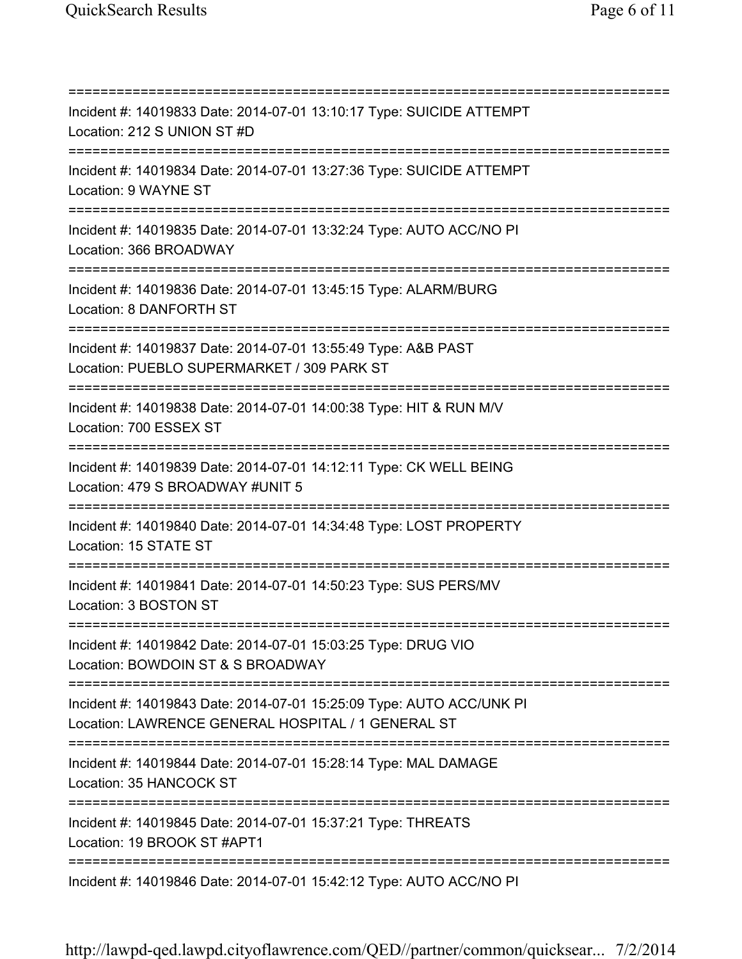=========================================================================== Incident #: 14019833 Date: 2014-07-01 13:10:17 Type: SUICIDE ATTEMPT Location: 212 S UNION ST #D =========================================================================== Incident #: 14019834 Date: 2014-07-01 13:27:36 Type: SUICIDE ATTEMPT Location: 9 WAYNE ST =========================================================================== Incident #: 14019835 Date: 2014-07-01 13:32:24 Type: AUTO ACC/NO PI Location: 366 BROADWAY =========================================================================== Incident #: 14019836 Date: 2014-07-01 13:45:15 Type: ALARM/BURG Location: 8 DANFORTH ST =========================================================================== Incident #: 14019837 Date: 2014-07-01 13:55:49 Type: A&B PAST Location: PUEBLO SUPERMARKET / 309 PARK ST =========================================================================== Incident #: 14019838 Date: 2014-07-01 14:00:38 Type: HIT & RUN M/V Location: 700 ESSEX ST =========================================================================== Incident #: 14019839 Date: 2014-07-01 14:12:11 Type: CK WELL BEING Location: 479 S BROADWAY #UNIT 5 =========================================================================== Incident #: 14019840 Date: 2014-07-01 14:34:48 Type: LOST PROPERTY Location: 15 STATE ST =========================================================================== Incident #: 14019841 Date: 2014-07-01 14:50:23 Type: SUS PERS/MV Location: 3 BOSTON ST =========================================================================== Incident #: 14019842 Date: 2014-07-01 15:03:25 Type: DRUG VIO Location: BOWDOIN ST & S BROADWAY =========================================================================== Incident #: 14019843 Date: 2014-07-01 15:25:09 Type: AUTO ACC/UNK PI Location: LAWRENCE GENERAL HOSPITAL / 1 GENERAL ST =========================================================================== Incident #: 14019844 Date: 2014-07-01 15:28:14 Type: MAL DAMAGE Location: 35 HANCOCK ST =========================================================================== Incident #: 14019845 Date: 2014-07-01 15:37:21 Type: THREATS Location: 19 BROOK ST #APT1 =========================================================================== Incident #: 14019846 Date: 2014-07-01 15:42:12 Type: AUTO ACC/NO PI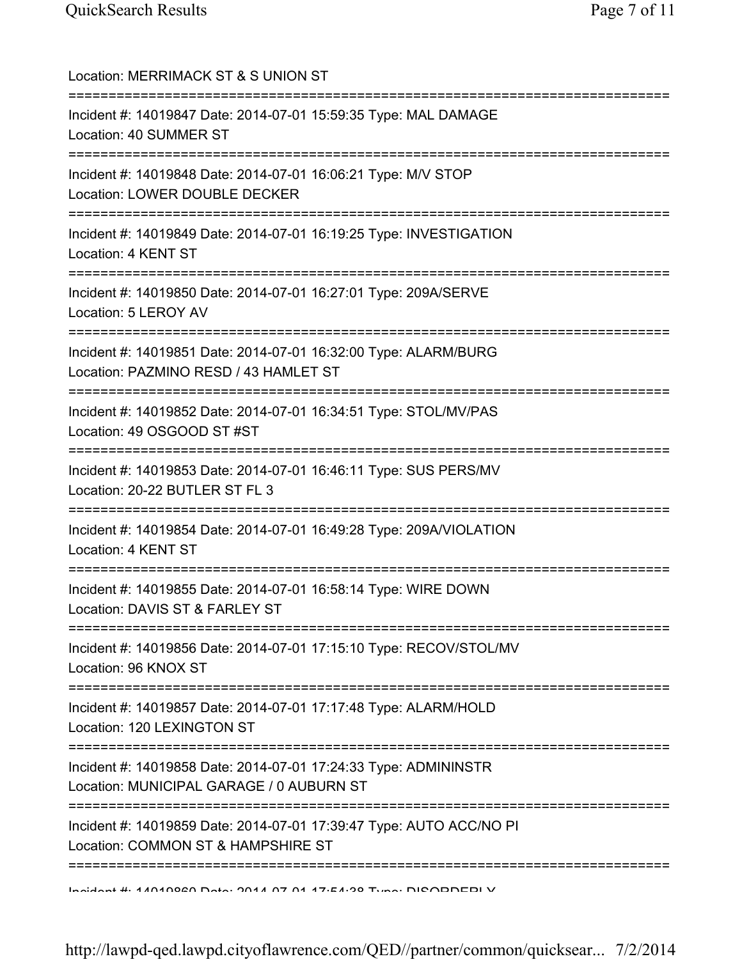| Location: MERRIMACK ST & S UNION ST<br>===============================                                      |
|-------------------------------------------------------------------------------------------------------------|
| Incident #: 14019847 Date: 2014-07-01 15:59:35 Type: MAL DAMAGE<br>Location: 40 SUMMER ST                   |
| Incident #: 14019848 Date: 2014-07-01 16:06:21 Type: M/V STOP<br>Location: LOWER DOUBLE DECKER              |
| Incident #: 14019849 Date: 2014-07-01 16:19:25 Type: INVESTIGATION<br>Location: 4 KENT ST                   |
| Incident #: 14019850 Date: 2014-07-01 16:27:01 Type: 209A/SERVE<br>Location: 5 LEROY AV                     |
| Incident #: 14019851 Date: 2014-07-01 16:32:00 Type: ALARM/BURG<br>Location: PAZMINO RESD / 43 HAMLET ST    |
| Incident #: 14019852 Date: 2014-07-01 16:34:51 Type: STOL/MV/PAS<br>Location: 49 OSGOOD ST #ST              |
| Incident #: 14019853 Date: 2014-07-01 16:46:11 Type: SUS PERS/MV<br>Location: 20-22 BUTLER ST FL 3          |
| Incident #: 14019854 Date: 2014-07-01 16:49:28 Type: 209A/VIOLATION<br>Location: 4 KENT ST                  |
| Incident #: 14019855 Date: 2014-07-01 16:58:14 Type: WIRE DOWN<br>Location: DAVIS ST & FARLEY ST            |
| Incident #: 14019856 Date: 2014-07-01 17:15:10 Type: RECOV/STOL/MV<br>Location: 96 KNOX ST                  |
| Incident #: 14019857 Date: 2014-07-01 17:17:48 Type: ALARM/HOLD<br>Location: 120 LEXINGTON ST               |
| Incident #: 14019858 Date: 2014-07-01 17:24:33 Type: ADMININSTR<br>Location: MUNICIPAL GARAGE / 0 AUBURN ST |
| Incident #: 14019859 Date: 2014-07-01 17:39:47 Type: AUTO ACC/NO PI<br>Location: COMMON ST & HAMPSHIRE ST   |
| Incident #: 11010000 Deta: 0011 07 01 17:51:00 Tune: DICODDEDI V                                            |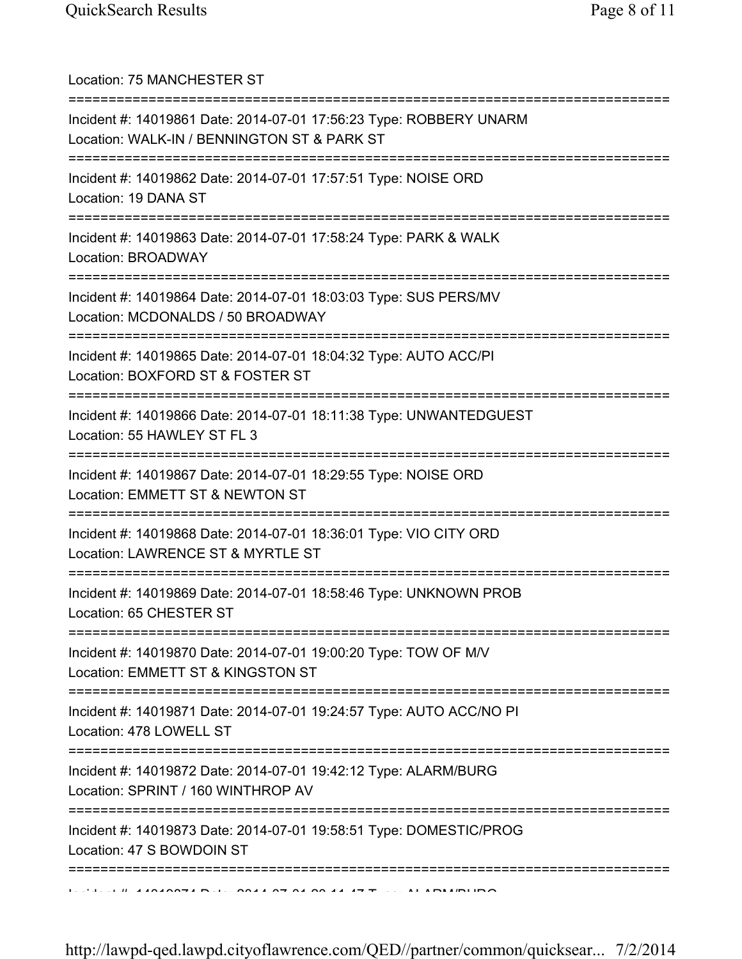Location: 75 MANCHESTER ST =========================================================================== Incident #: 14019861 Date: 2014-07-01 17:56:23 Type: ROBBERY UNARM Location: WALK-IN / BENNINGTON ST & PARK ST =========================================================================== Incident #: 14019862 Date: 2014-07-01 17:57:51 Type: NOISE ORD Location: 19 DANA ST =========================================================================== Incident #: 14019863 Date: 2014-07-01 17:58:24 Type: PARK & WALK Location: BROADWAY =========================================================================== Incident #: 14019864 Date: 2014-07-01 18:03:03 Type: SUS PERS/MV Location: MCDONALDS / 50 BROADWAY =========================================================================== Incident #: 14019865 Date: 2014-07-01 18:04:32 Type: AUTO ACC/PI Location: BOXFORD ST & FOSTER ST =========================================================================== Incident #: 14019866 Date: 2014-07-01 18:11:38 Type: UNWANTEDGUEST Location: 55 HAWLEY ST FL 3 =========================================================================== Incident #: 14019867 Date: 2014-07-01 18:29:55 Type: NOISE ORD Location: EMMETT ST & NEWTON ST =========================================================================== Incident #: 14019868 Date: 2014-07-01 18:36:01 Type: VIO CITY ORD Location: LAWRENCE ST & MYRTLE ST =========================================================================== Incident #: 14019869 Date: 2014-07-01 18:58:46 Type: UNKNOWN PROB Location: 65 CHESTER ST =========================================================================== Incident #: 14019870 Date: 2014-07-01 19:00:20 Type: TOW OF M/V Location: EMMETT ST & KINGSTON ST =========================================================================== Incident #: 14019871 Date: 2014-07-01 19:24:57 Type: AUTO ACC/NO PI Location: 478 LOWELL ST =========================================================================== Incident #: 14019872 Date: 2014-07-01 19:42:12 Type: ALARM/BURG Location: SPRINT / 160 WINTHROP AV =========================================================================== Incident #: 14019873 Date: 2014-07-01 19:58:51 Type: DOMESTIC/PROG Location: 47 S BOWDOIN ST ===========================================================================  $\overline{11}$  in a solonger bill on a date of an  $\overline{14}$  type: Alarmonium of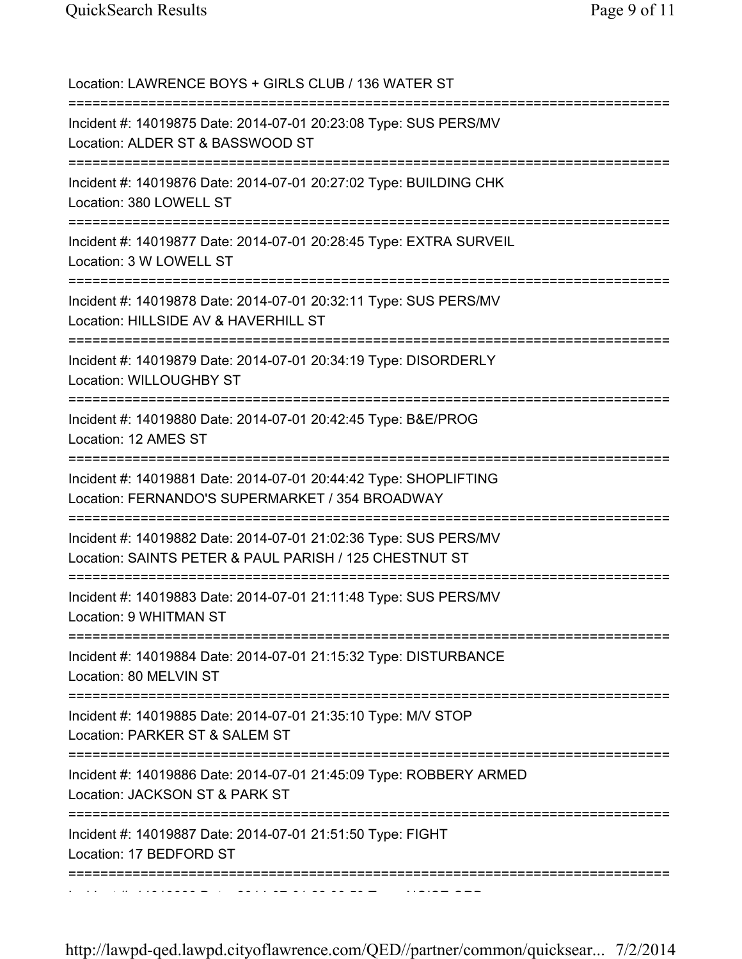Location: LAWRENCE BOYS + GIRLS CLUB / 136 WATER ST =========================================================================== Incident #: 14019875 Date: 2014-07-01 20:23:08 Type: SUS PERS/MV Location: ALDER ST & BASSWOOD ST =========================================================================== Incident #: 14019876 Date: 2014-07-01 20:27:02 Type: BUILDING CHK Location: 380 LOWELL ST =========================================================================== Incident #: 14019877 Date: 2014-07-01 20:28:45 Type: EXTRA SURVEIL Location: 3 W LOWELL ST =========================================================================== Incident #: 14019878 Date: 2014-07-01 20:32:11 Type: SUS PERS/MV Location: HILLSIDE AV & HAVERHILL ST =========================================================================== Incident #: 14019879 Date: 2014-07-01 20:34:19 Type: DISORDERLY Location: WILLOUGHBY ST =========================================================================== Incident #: 14019880 Date: 2014-07-01 20:42:45 Type: B&E/PROG Location: 12 AMES ST =========================================================================== Incident #: 14019881 Date: 2014-07-01 20:44:42 Type: SHOPLIFTING Location: FERNANDO'S SUPERMARKET / 354 BROADWAY =========================================================================== Incident #: 14019882 Date: 2014-07-01 21:02:36 Type: SUS PERS/MV Location: SAINTS PETER & PAUL PARISH / 125 CHESTNUT ST =========================================================================== Incident #: 14019883 Date: 2014-07-01 21:11:48 Type: SUS PERS/MV Location: 9 WHITMAN ST =========================================================================== Incident #: 14019884 Date: 2014-07-01 21:15:32 Type: DISTURBANCE Location: 80 MELVIN ST =========================================================================== Incident #: 14019885 Date: 2014-07-01 21:35:10 Type: M/V STOP Location: PARKER ST & SALEM ST =========================================================================== Incident #: 14019886 Date: 2014-07-01 21:45:09 Type: ROBBERY ARMED Location: JACKSON ST & PARK ST =========================================================================== Incident #: 14019887 Date: 2014-07-01 21:51:50 Type: FIGHT Location: 17 BEDFORD ST =========================================================================== Incident #: 14019888 Date: 2014 07 01 22:08:59 Type: NOISE ORD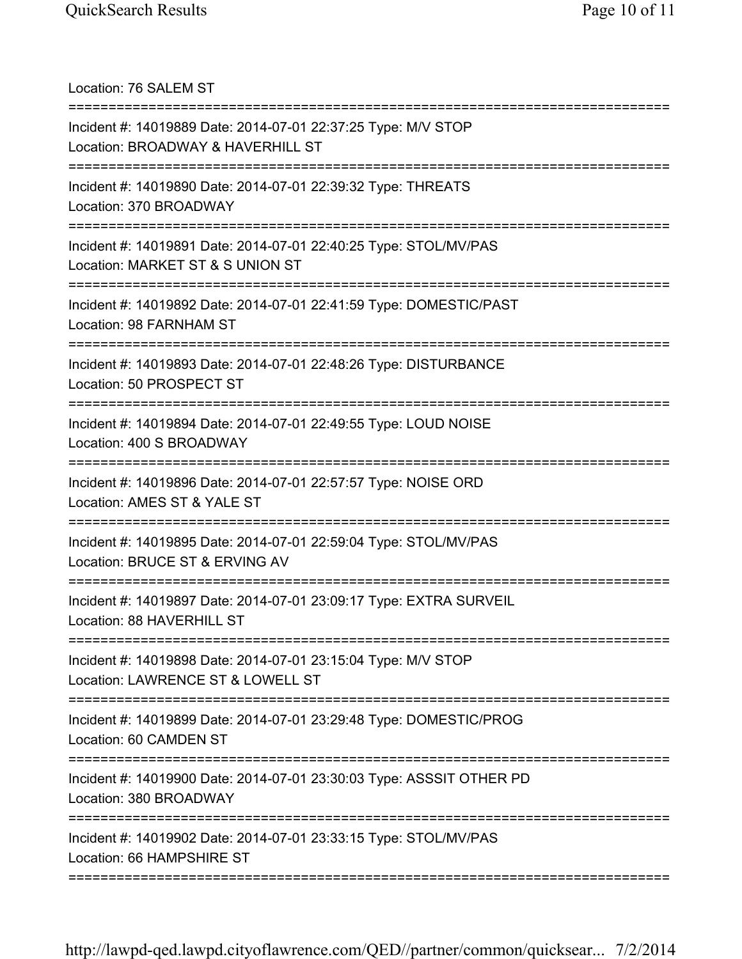Location: 76 SALEM ST =========================================================================== Incident #: 14019889 Date: 2014-07-01 22:37:25 Type: M/V STOP Location: BROADWAY & HAVERHILL ST =========================================================================== Incident #: 14019890 Date: 2014-07-01 22:39:32 Type: THREATS Location: 370 BROADWAY =========================================================================== Incident #: 14019891 Date: 2014-07-01 22:40:25 Type: STOL/MV/PAS Location: MARKET ST & S UNION ST =========================================================================== Incident #: 14019892 Date: 2014-07-01 22:41:59 Type: DOMESTIC/PAST Location: 98 FARNHAM ST =========================================================================== Incident #: 14019893 Date: 2014-07-01 22:48:26 Type: DISTURBANCE Location: 50 PROSPECT ST =========================================================================== Incident #: 14019894 Date: 2014-07-01 22:49:55 Type: LOUD NOISE Location: 400 S BROADWAY =========================================================================== Incident #: 14019896 Date: 2014-07-01 22:57:57 Type: NOISE ORD Location: AMES ST & YALE ST =========================================================================== Incident #: 14019895 Date: 2014-07-01 22:59:04 Type: STOL/MV/PAS Location: BRUCE ST & ERVING AV =========================================================================== Incident #: 14019897 Date: 2014-07-01 23:09:17 Type: EXTRA SURVEIL Location: 88 HAVERHILL ST =========================================================================== Incident #: 14019898 Date: 2014-07-01 23:15:04 Type: M/V STOP Location: LAWRENCE ST & LOWELL ST =========================================================================== Incident #: 14019899 Date: 2014-07-01 23:29:48 Type: DOMESTIC/PROG Location: 60 CAMDEN ST =========================================================================== Incident #: 14019900 Date: 2014-07-01 23:30:03 Type: ASSSIT OTHER PD Location: 380 BROADWAY =========================================================================== Incident #: 14019902 Date: 2014-07-01 23:33:15 Type: STOL/MV/PAS Location: 66 HAMPSHIRE ST ===========================================================================